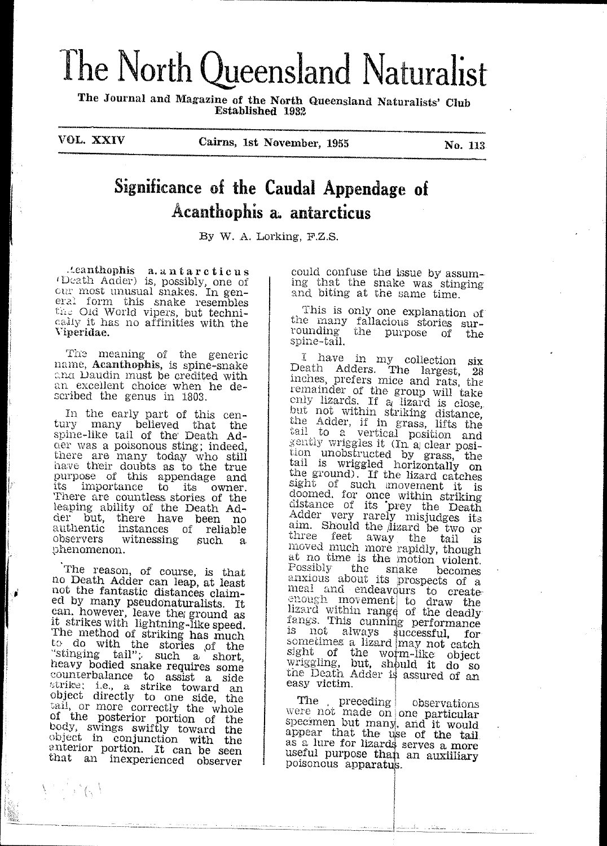# The North Queensland Naturalist

The Journal and Magazine of the North Queensland Naturalists' Club Established 1932

VOL. XXIV

Cairns, 1st November, 1955

No. 113

# Significance of the Caudal Appendage of Acanthophis a. antarcticus

By W. A. Lorking, F.Z.S.

.teanthophis a.antarcticus<br>(Death Adder) is, possibly, one of our most unusual snakes. In general form this snake resembles the Old World vipers, but technically it has no affinities with the Viperidae.

The meaning of the generic<br>name, **Acanthophis**, is spine-snake ana Daudin must be credited with an excellent choice when he described the genus in 1803.

In the early part of this cen-<br>tury many believed that the<br>spine-like tail of the Death Adder was a poisonous sting; indeed, there are many today who still<br>have their doubts as to the true<br>purpose of this appendage and<br>its importance to its owner. There are countless stories of the leaping ability of the Death Ad-<br>der but, there have been no authentic instances of reliable observers witnessing such  $\alpha$ phenomenon.

The reason, of course, is that no Death Adder can leap, at least not the fantastic distances claimed by many pseudonaturalists. It<br>can, however, leave the ground as<br>it strikes with lightning-like speed. The method of striking has much to do with the stories of the stinging tail"; such a short, heavy bodied snake requires some counterbalance to assist a side strike; i.e., a strike boward and<br>object directly to one side, the<br>tail, or more correctly the whole of the posterior point of the control of the posterior point toward the object in conjunction with the enterior portion. It can be seen that an inexperienced observer

 $V^{\prime}$  is  $\mathcal{S}$ 

could confuse the issue by assuming that the snake was stinging and biting at the same time.

This is only one explanation of the many fallacious stories sur-<br>rounding the purpose of the spine-tail.

I have in my collection six<br>Death Adders. The largest, 28 inches, prefers mice and rats, the licens, prefers ince and rats, the<br>remainder of the group will take<br>enly lizards. If a lizard is close,<br>but not within striking distance,<br>the Adder, if in grass, lifts the<br>tail to a vertical position and<br>gently wriggles i tion unobstructed by grass, the tail is wriggled horizontally on the ground). If the lizard catches sight of such as the movement it is<br>sight of such movement it is<br>doomed, for once within striking<br>distance of its prey the Death<br>Adder very rarely misjudges its aim. Should the lizard be two or three feet away the tail is moved much more rapidly, though at no time is the motion violent. Possibly the snake becomes anxious about its prospects of a anxious about its prospects of a meal and endeavours to create<br>enough movement to draw the<br>lizard within range of the deadly<br>fangs. This cunning performance<br>is not always successful, for<br>sometimes a lizard may not catch<br>sy easy victim.

The preceding between the preceding were not made on one particular<br>specimen but many, and it would<br>appear that the use of the tail as a lure for lizards serves a more useful purpose than an auxilliary poisonous apparatus.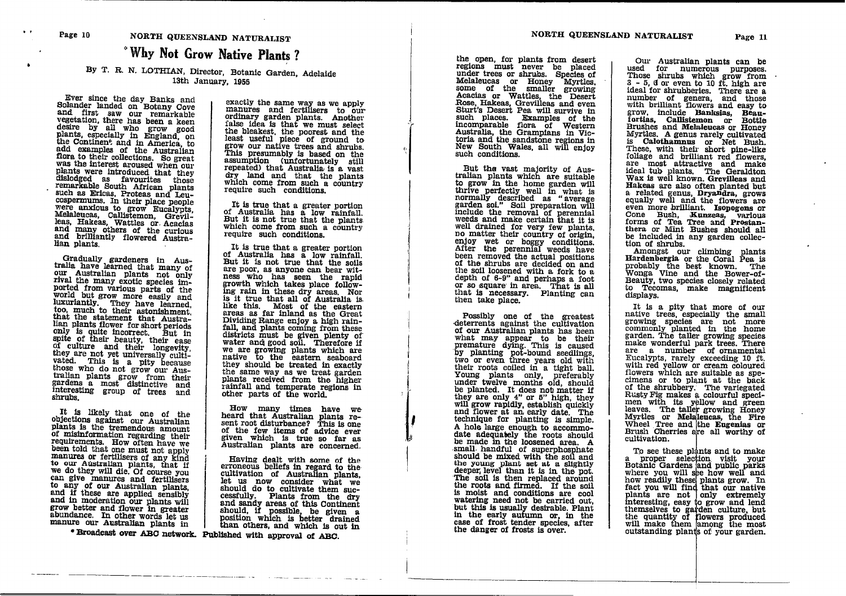## NORTH QUEENSLAND NATURALIST "Why Not Grow Native Plants?

#### By T. R. N. LOTHIAN, Director, Botanic Garden, Adelaide 13th January, 1955

Ever since the day Banks and Solander landed on Botany Cove and first saw our remarkable vegetation, there has been a keen desire by all who grow good a keen<br>plants, especially in England, on<br>plants, especially in England, on<br>the Continent and in America, to<br>add examples of the Australian<br>flora to their collections. So great was the interest aroused when our via the miterial arctical that they had been been also<br>dislodged as favourites those<br>remarkable South African plants<br>such as Ericas, Proteas and Leucospermums. In their place people Convertinuities. In their place people were anxious to grow Eucalypts, Melaleucas, Callistemon, Grevil-<br>leas, Hakeas, Wattles or Acaclas<br>and many others of the curious<br>and brilliantly flowered Australian plants.

Gradually gardeners in Aus-<br>tralia have learned that many of our Australian plants not only rival the many exotic species imported from various parts of the ported irom various parts of the world but grow more easily and luxuriantly. They have learned, too, much to their astonishment, that Australian the statement that Australian lian plants flower for short periods nan piants Hower for short periods<br>only is quite incorrect. But in<br>spite of their beauty, their ease<br>of culture and their longevity,<br>they are not yet universally culti-<br>vated. This is a pity because<br>those who do not grow o tralian plants grow from their<br>gardens a most distinctive and interesting group of trees and shrubs.

It is likely that one of the objections against our Australian plants is the tremendous amount of misinformation regarding their requirements. How often have we been told that one must not apply manures or fertilisers of any kind to our Australian plants, that if we do they will die. Of course you can give manures and fertilisers<br>to any of our Australian plants,<br>and if these are applied sensibly and in moderation our plants will grow better and flower in greater abundance. In other words let us manure our Australian plants in

exactly the same way as we apply manures and fertilisers to our ordinary garden plants. Another false idea is that we must select the bleakest, the poorest and the least useful piece of ground to grow our native trees and shrubs.<br>This presumably is based on the assumption (unfortunately still<br>repeated) that Australia is a vast dry land and that the plants which come from such a country<br>require such conditions.

It is true that a greater portion of Australia has a low rainfall. But it is not true that the plants. which come from such a country require such conditions.

It is true that a greater portion of Australia has a low rainfall. But it is not true that the soils are poor, as anyone can bear witness who has seen the rapid<br>growth which takes place following rain in these dry areas. Nor is it true that all of Australia is like this. Most of the eastern<br>areas as far inland as the Great areas as far miand as the Great<br>Dividing Range enjoy a high rain-<br>fall, and plants coming from these<br>districts must be given plenty of<br>water and good soil. Therefore if<br>we are growing blants which are<br>native to the eastern the same way as we treat garden<br>plants received from the higher rainfall and temperate regions in<br>other parts of the world.

How many times have we<br>heard that Australian plants resent root disturbance? This is one of the few items of advice ever given which is true so far as Australian plants are concerned.

Having dealt with some of the Earning useful with some of the<br>cultivation of Australian plants,<br>let us now consider what we<br>should do to cultivate them successfully. Plants from the dry<br>and sandy areas of this Continent should, if possible, be given a<br>position which is better drained<br>than others, and which is out in

\* Broadcast over ABC network. Published with approval of ABC.

the open, for plants from desert regions must never be placed under trees or shrubs. Species of Melaleucas or Honey Myrtles, some of the smaller growing Acacias or Wattles, the Desert<br>Rose, Hakeas, Grevilleas and even Sturt's Desert Pea will survive in Such places. Examples of the incomparable flora of Western<br>incomparable flora of Western<br>Australia, the Gramplans in Victoria and the sandstone regions in<br>New South Wales, all will enjoy such conditions.

But the vast majority of Aus-<br>tralian plants which are suitable to grow in the home garden will to grow in the nome garden win<br>thrive perfectly well in what is<br>normally described as "average<br>garden soi." Soil preparation will<br>include the removal of perennial<br>weeds and make certain that it is well drained for very few plants, no matter their country of origin. no matter their country of origin,<br>enjoy wet or boggy conditions.<br>After the perennial weeds have<br>been removed the actual positions<br>of the shrubs are decided on and<br>the soil loosened with a fork to a<br>cepth of 6-9" and perha that is necessary. Planting can then take place.

Possibly one of the greatest deterrents against the cultivation of our Australian plants has been of our Australian plants has been<br>what may appear to be their<br>premature dying. This is caused<br>by planting pot-bound seedlings,<br>two or even three years old with<br>their roots coiled in a tight ball.<br>Young plants only, prefer and flower at an early date. The technique for planting is simple. A hole large enough to accommodate adequately the roots should be made in the loosened area. A small handful of superphosphate<br>should be mixed with the soil and show to pung plant set at a slightly deeper level than it is in the pot.<br>The soil is then replaced around the roots and firmed. If the soil is moist and conditions are cool watering need not be carried out,<br>but this is usually desirable. Plant<br>in the early autumn or, in the case of frost tender species, after the danger of frosts is over.

Our Australian plants can be bed for numerous purposes.<br>Those shrubs which grow from<br>3. - 5. d or even to 10 ft. high are ideal for shrubberies. There are a number of genera, and those numbers<br>mumber of genera, and those<br>grow, include Banksias, Bean-<br>fortias, Callistemon or Bottle<br>Frushes and Melaleucas or Honey Myrtles. A genus rarely cultivated is Calothamnus or Net Bush.<br>These, with their short pine-like foliage and brilliant red flowers, example and thractive and make<br>ideal tub plants. The Geraldton<br>Wax is well known. Grevilleas and Hakeas are also often planted but a related genus, Dryamdra, grows<br>equally well and the flowers are<br>even more brilliant. Isonogons or<br>Cone Bush, Kunzeas, various<br>forms of Tea Tree and Prostanthera or Mint Bushes should all be included in any garden collection of shrubs.

Amongst our climbing plants<br>Hardenbergia or the Coral Pea is probably the best known. The Wonga Vine and the Bower-of-Beauty, two species closely related to Tecomas, make magnificent displays.

It is a pity that more of our It is a pity that more of our native trees, especially the small<br>prowing species are not more commonly planted in the home<br>garden. The taller growing species<br>make wonderful park trees. There<br>are a number of ornamental<br>Euca flowers which are suitable as specimens or to plant at the back of the shrubbery. The variegated<br>Rusty Fig makes a colourful specinen with its yellow and green<br>leaves. The taller growing Honey<br>Myrtles or Melaleucas, the Fire Wheel Tree and the Eugenias or Brush Cherries are all worthy of cultivation.

To see these plants and to make a proper selection visit your<br>Botanic Gardens and public parks before you will see how well and<br>how readily these plants grow. In<br>fact you will find that our native<br>plants are not only extremely plants are mot joury cautions,<br>themselves to garden culture, but<br>the quantity of flowers produced<br>will make them among the most<br>outstanding plants of your garden.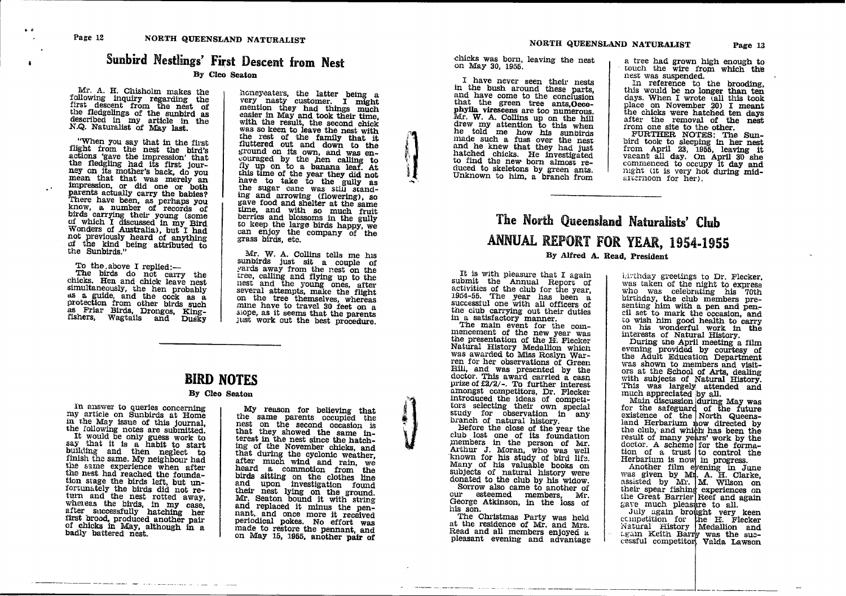$\mathbf{r}$ 

# Sunbird Nestlings' First Descent from Nest

#### By Cleo Seaton

Mr. A. H. Chisholm makes the following inquiry regarding the first descent from the nest of the fledgelings of the sunbird as described in my article in the N.Q. Naturalist of May last.

"When you say that in the first flight from the nest the bird's<br>actions 'gave the impression' that<br>the fleeling had its first jour-<br>ney on its mother's back, do you<br>mean that that was merely an<br>impression, or did one or both<br>parents actually carry the ba flight from the nest the bird's

To the above I replied:-

The birds do not carry the chicks. Hen and chick leave nest chinals. Then and chines teave heat<br>simultaneously, the hen probably<br>as a guide, and the cock as a<br>protection from other birds such<br>as Friar Birds, Drongos, King-<br>fishers, Wagtails and Dusky honeyeaters, the latter being a<br>very nasty customer. I might<br>mention they had things much<br>easier in May and took their time,<br>with the result, the second chick<br>was so keen to leave the nest with<br>the rest of the family that honeyeaters, the latter being a the sugar cane was still stand-<br>ing and arrowing (flowering), so<br>gave food and shelter at the same<br>time, and with so much fruit<br>berries and blossoms in the gully<br>to keep the large birds happy, we<br>can enjoy the company of t

Mr. W. A. Collins tells me his<br>sunbirds just sit a couple of<br>yards away from the nest on the<br>tree, calling and flying up to the<br>nest and the young ones, after<br>several attempts, make the flight<br>on the tree themselves, where siope, as it seems that the parents just work out the best procedure.

### **BIRD NOTES**

#### By Cleo Seaton

In answer to queries concerning my article on Sunbirds at Home my article on Sunbirds at Home<br>in the May issue of this journal,<br>the following notes are submitted.<br>It would be only guess work to<br>say that it is a habit to start<br>building and then neglect to<br>finish the same. My neighbour the nest had reached the foundation stage the birds left, but under<br>fortunately the birds did not return and the nest rotted away,<br>whereas the birds, in my case,<br>after successfully hatching her<br>first brood, produced anothe badly battered nest.

My reason for believing that<br>the same parents occupied the nest on the second occasion is nest on the second occasion is<br>that they showed the same in-<br>terest in the nest since the hatch-<br>terest in the nest since the hatch-<br>ing of the November chicks, and<br>that during the cyclonic weather,<br>after much wind and rai periodical pokes. No effort was<br>made to restore the pennant, and<br>on May 15, 1955, another pair of

chicks was born, leaving the nest on May 30, 1955.

I have never seen their nests in the bush around these parts. and have come to the conclusion phylla virescens are too numerous. phyma virescens are too numerous.<br>Mr. W. A. Collins up on the hill<br>drew my attention to this when<br>he told me how his sunbirds<br>made such a fuss over the nest<br>and he knew that they had just and the state what they had just<br>to find the new born almost re-<br>duced to skeletons by green ants.<br>Unknown to him, a branch from

a tree had grown high enough to touch the wire from which the nest was suspended.

In reference to the brooding,<br>this would be no longer than ten days. When I wrote (all this took place on November 20) I meant<br>the chicks were hatched ten days after the removal of the nest<br>from one site to the other.

From one site to the other.<br>FURTHER NOTES: The Sun-<br>bird took to sleeping in her nest<br>from April 23, 1955, leaving it<br>vacant all day. On April 30 she<br>commenced to occupy it day and<br>might (it is very hot during mid-<br>arterno

# The North Queensland Naturalists' Club ANNUAL REPORT FOR YEAR, 1954-1955 By Alfred A. Read. President

It is with pleasure that I again<br>submit the Annual Report of<br>activities of the club for the year, about the cut of the gear<br>successful one with all officers at<br>successful one with all officers of<br>the club carrying out their duties<br>in a satisfactory manner.<br>The main event for the com-

mencement of the new year was the presentation of the H. Flecker Natural History Medallion which<br>was awarded to Miss Roslyn Warren for her observations of Green Hill, and was presented by the doctor. This award carried a cash

doctor. This award carried a cash prize of  $22/2$ .. To further interest amongst competitors, Dr. Flecker-<br>introduced the ideas of competitions selecting their own special<br>study for observation in any branch of natural his

our esteemed members, Mr.<br>George Atkinson, in the loss of his son.

The Christmas Party was held<br>at the residence of Mr. and Mrs. Read and all members enjoyed a pleasant evening and advantage

idividay greetings to Dr. Flecker. was taken of the night to express was taken of the night to express<br>who was celebrating his 70th<br>birthday, the club members pre-<br>birthday, the club members pre-<br>cil set to mark the occasion, and<br>to wish him good health to carry<br>on his wonderful work in the

evening provided by courtesy of<br>the Adult Education Department<br>was shown to members and visit-<br>ors at the School of Arts, dealing<br>with subjects of Natural History.<br>This was largely attended and<br>much appreciated by all.<br>Mai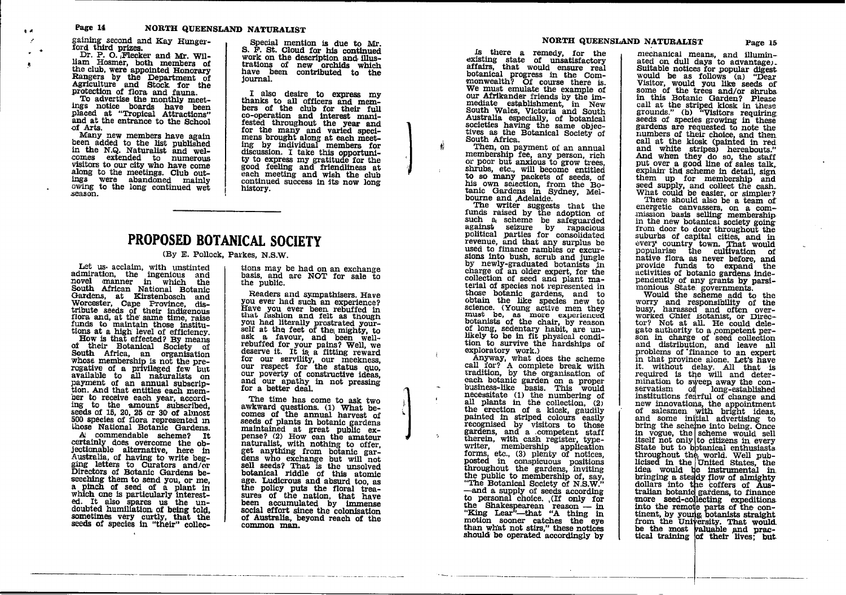gaining second and Kay Hunger-<br>ford third prizes.

Dr. P. O. Flecker and Mr. William Hosmer, both members of the club, were appointed Honorary Rangers by the Department of Agriculture and Stock for the protection of flora and fauna.

To advertise the monthly meetings notice boards have been<br>placed at "Tropical Attractions" and at the entrance to the School of Arts.

Many new members have again been added to the list published<br>in the N.Q. Naturalist and welcomes extended to numerous visitors to our city who have come along to the meetings. Club outings were abandoned mainly owing to the long continued wet season.

Special mention is due to Mr. S. F. St. Cloud for his continued work on the description and illustrations of new orchids which have been contributed to the journal.

I also desire to express my thanks to all officers and members of the club for their full co-operation and interest mani-<br>fested throughout the year and<br>for the many and varied speci-<br>mens brought along at each meeting by individual members for<br>discussion. I take this opportunity to express my gratitude for the<br>good feeling and friendliness at<br>each meeting and wish the club continued success in its now long history.

# PROPOSED BOTANICAL SOCIETY

#### (By E. Pollock, Parkes, N.S.W.

Let us acclaim, with unstinted admiration, the ingenious and novel manner in which the<br>South African National Botanic Gardens, at Kirstenbosch and<br>Worcester, Cape Province, dis-<br>tribute seeds of their indigenous flora and, at the same time, raise funds to maintain those institu-

Finalis to maintain those institu-<br>tions at a high level of efficiency.<br>How is that effected? By means<br>of their Botanical Society of<br>South Africa, an organisation<br>whose membership is not the prerogative of a privileged few but<br>available to all naturalists on payment of an annual subscription. And that entitles each member to receive each year, accordor to receive each year, accord-<br>ing to the amount subscribed,<br>seeds of 15, 20, 25 or 30 of almost<br>500 species of flora represented in<br>those National Botanic Gardens.

A commendable scheme? It certainly does overcome the objectionable alternative, here in Australia, of having to write begging letters to Curators and/or<br>Directors of Botanic Gardens beseeching them to send you, or me, a pinch of seed of a plant in<br>which one is particularly interested. It also spares us the undoubted humiliation of being told, sometimes very curtly, that the seeds of species in "their" collec-

tions may be had on an exchange basis, and are NOT for sale to the public.

Readers and sympathisers. Have you ever had such an experience? Have you ever been rebuffed in that fashion and felt as though<br>you had literally prostrated your-<br>self at the feet of the mighty, to<br>ask a favour, and been wellask a ravour, and been well-<br>rebuffed for your pains? Well, we<br>deserve it. It is a fitting reward<br>for our servility, our meekness,<br>our respect for the status quo,<br>our poverty of constructive ideas, and our apathy in not pressing for a better deal.

The time has come to ask two awkward questions. (1) What becomes of the annual harvest of seeds of plants in botanic gardens maintained at great public ex-<br>pense? (2) How can the amateur<br>naturalist, with nothing to offer,<br>get anything from botanic gardens who exchange but will not sell seeds? That is the unsolved botanical riddle of this atomic age. Ludicrous and absurd too, as the policy puts the floral track the policy puts the floral treatment<br>sures of the nation, that have<br>been accumulated by immense<br>social effort since the colonisation of Australia, beyond reach of the common man.

is there a remedy, for the existing state of unsatisfactory<br>affairs, that would ensure real botanical progress in the Commonwealth? Of course there is.<br>We must emulate the example of our Afrikander friends by the immediate establishment, in New Sustinalia especially, of botanical<br>societies having the same objectives as the Botanical Society of South Africa.

Then, on payment of an annual membership fee, any person, rich or poor but anxious to grow trees. shrubs, etc., will become entitled to so many packets of seeds, of<br>his own selection, from the Bo-<br>tanic Gardens in Sydney, Mel-<br>bourne and Adelaide.

The writer suggests that the funds raised by the adoption of such a scheme be safeguarded statement of science to repeat against seizure by rapacious<br>political parties for consolidated<br>revenue, and that any surplus be<br>used to finance rambles or excursions into bush, scrub and jungle by newly-graduated botanists in charge of an older expert, for the collection of seed and plant material of species not represented in these botanic gardens, and to obtain the like species new to science. (Young active men they must be, as more experienced<br>botanists of the chair, by reason of long, sedentary habit, are unlikely to be in fit physical condition to survive the hardships of exploratory work.)

exploratory work.)<br>
Anyway, what does the scheme<br>
call for? A complete break with<br>
tradition, by the organisation of<br>
each botanic garden on a proper<br>
business-like basis. This would<br>
necessitate (1) the numbering of<br>
all painted in striped colours easily recognised by visitors to those<br>gardens, and a competent staff therein, with cash register, typewriter, membership application<br>forms, etc., (3) plenty of notices,<br>forms, etc., (3) plenty of notices,<br>posted in conspicuous positions<br>throughout the gardens, inviting the public to membership of, say, "The Botanical Society of N.S.W." -and a supply of seeds according<br>to personal choice. (If only for the Shakespearean reason — in<br>"King Lear"—that "A thing in motion sooner catches the eye than what not stirs," these notices should be operated accordingly by

mechanical means, and illuminated on dull days to advantage.<br>Suitable notices for popular digest would be as follows (a) "Dear<br>Visitor, would you like seeds of<br>some of the trees and/or shrubs in this Botanic Garden? Please call at the striped klosk in these grounds." (b) "Visitors requiring seeds of species growing in these gardens are requested to note the<br>numbers of their choice, and then call at the kiosk (painted in red call at the kiosk (painted in red and white stripes) hereabouts."<br>And when they do so, the staff<br>put over a good line of sales talk,<br>explain the scheme in detail, sign<br>them up for membership and<br>seed supply, and collect th

energetic canvassers, on a com-<br>mission basis selling membership<br>in the new botanical society going from door to door throughout the suburbs of capital cities, and in<br>every country town. That would<br>popularise the cultivation of<br>native flora as never before, and in<br>ative flora as never before, and<br>provide funds to expand the<br>activities of botanic gardens pendently of any grants by parsi-<br>monious State governments.<br>Would the scheme add to the

worry and responsibility of the<br>busy, harassed and often over-<br>worked Chief Botanist, or Director? Not at all. He could delegate authority to a competent person in charge of seed collection and distribution, and leave all<br>problems of finance to an expert in that province alone. Let's have it. without delay. All that is<br>required is the will and deterrequired is the will and deter-<br>mination to sweep away the con-<br>servatism of long-established<br>institutions fearful of change and<br>new innovations, the appointment<br>of salesmen with bright ideas,<br>and some initial advertising throughout the world. Well pub-<br>licised in the United States, the idea would be instrumental in<br>bringing a steady flow of almighty<br>dollars into the coffers of Aus-<br>tralian hotanic gardens, to finance more seed-collecting expeditions<br>into the remote parts of the con-<br>tinent, by young botanists straight from the University. That would be the most valuable and practical training of their lives. but